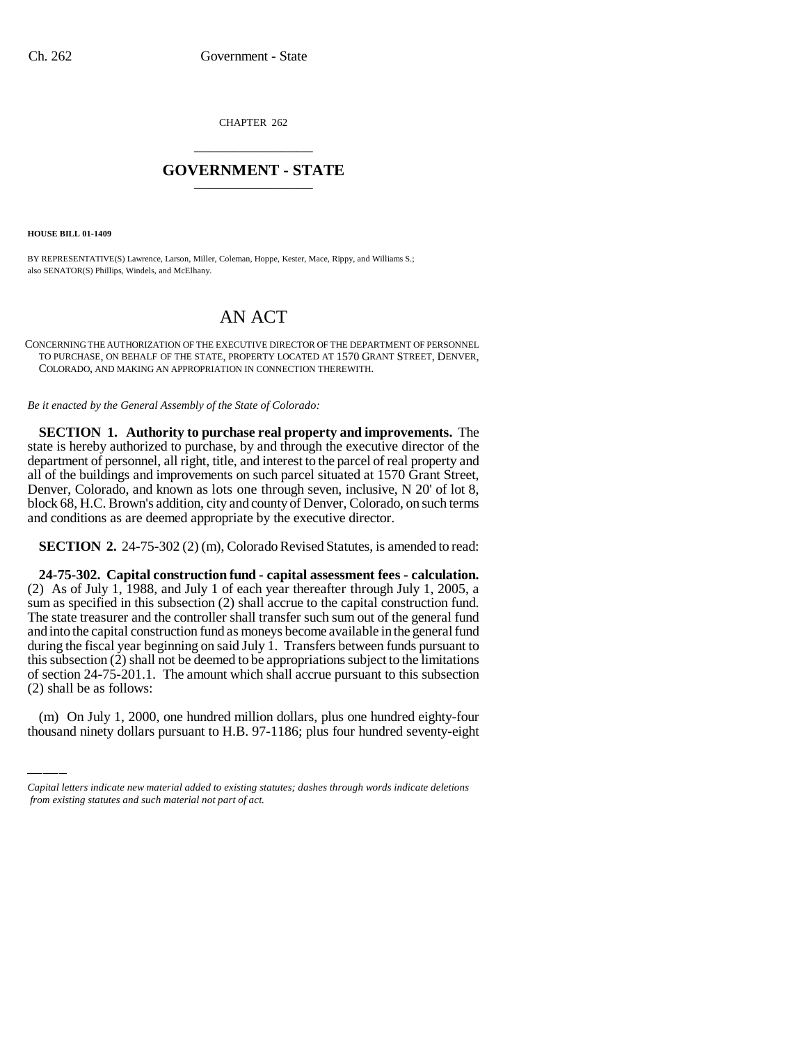CHAPTER 262 \_\_\_\_\_\_\_\_\_\_\_\_\_\_\_

# **GOVERNMENT - STATE** \_\_\_\_\_\_\_\_\_\_\_\_\_\_\_

**HOUSE BILL 01-1409**

BY REPRESENTATIVE(S) Lawrence, Larson, Miller, Coleman, Hoppe, Kester, Mace, Rippy, and Williams S.; also SENATOR(S) Phillips, Windels, and McElhany.

# AN ACT

CONCERNING THE AUTHORIZATION OF THE EXECUTIVE DIRECTOR OF THE DEPARTMENT OF PERSONNEL TO PURCHASE, ON BEHALF OF THE STATE, PROPERTY LOCATED AT 1570 GRANT STREET, DENVER, COLORADO, AND MAKING AN APPROPRIATION IN CONNECTION THEREWITH.

*Be it enacted by the General Assembly of the State of Colorado:*

**SECTION 1. Authority to purchase real property and improvements.** The state is hereby authorized to purchase, by and through the executive director of the department of personnel, all right, title, and interest to the parcel of real property and all of the buildings and improvements on such parcel situated at 1570 Grant Street, Denver, Colorado, and known as lots one through seven, inclusive, N 20' of lot 8, block 68, H.C. Brown's addition, city and county of Denver, Colorado, on such terms and conditions as are deemed appropriate by the executive director.

**SECTION 2.** 24-75-302 (2) (m), Colorado Revised Statutes, is amended to read:

of section 24-75-201.1. The amount which shall accrue pursuant to this subsection **24-75-302. Capital construction fund - capital assessment fees - calculation.** (2) As of July 1, 1988, and July 1 of each year thereafter through July 1, 2005, a sum as specified in this subsection (2) shall accrue to the capital construction fund. The state treasurer and the controller shall transfer such sum out of the general fund and into the capital construction fund as moneys become available in the general fund during the fiscal year beginning on said July 1. Transfers between funds pursuant to this subsection (2) shall not be deemed to be appropriations subject to the limitations (2) shall be as follows:

(m) On July 1, 2000, one hundred million dollars, plus one hundred eighty-four thousand ninety dollars pursuant to H.B. 97-1186; plus four hundred seventy-eight

*Capital letters indicate new material added to existing statutes; dashes through words indicate deletions from existing statutes and such material not part of act.*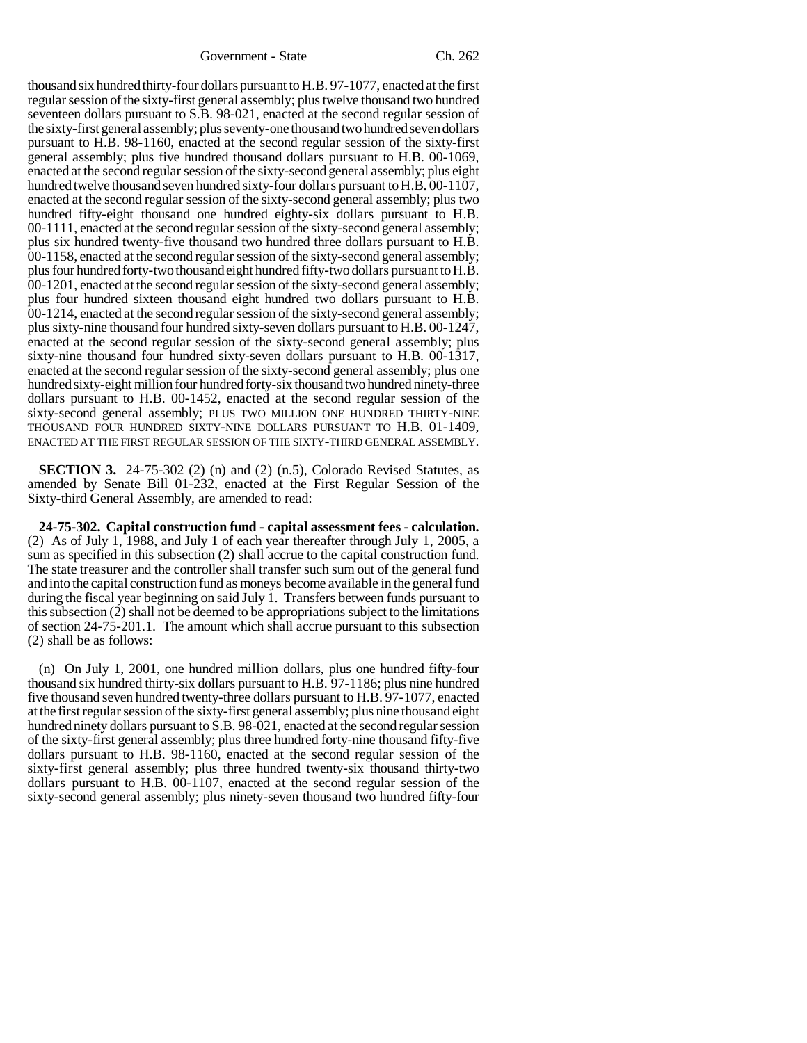thousand six hundred thirty-four dollars pursuant to H.B. 97-1077, enacted at the first regular session of the sixty-first general assembly; plus twelve thousand two hundred seventeen dollars pursuant to S.B. 98-021, enacted at the second regular session of the sixty-first general assembly; plus seventy-one thousand two hundred seven dollars pursuant to H.B. 98-1160, enacted at the second regular session of the sixty-first general assembly; plus five hundred thousand dollars pursuant to H.B. 00-1069, enacted at the second regular session of the sixty-second general assembly; plus eight hundred twelve thousand seven hundred sixty-four dollars pursuant to H.B. 00-1107, enacted at the second regular session of the sixty-second general assembly; plus two hundred fifty-eight thousand one hundred eighty-six dollars pursuant to H.B. 00-1111, enacted at the second regular session of the sixty-second general assembly; plus six hundred twenty-five thousand two hundred three dollars pursuant to H.B. 00-1158, enacted at the second regular session of the sixty-second general assembly; plus four hundred forty-two thousand eight hundred fifty-two dollars pursuant to H.B. 00-1201, enacted at the second regular session of the sixty-second general assembly; plus four hundred sixteen thousand eight hundred two dollars pursuant to H.B. 00-1214, enacted at the second regular session of the sixty-second general assembly; plus sixty-nine thousand four hundred sixty-seven dollars pursuant to H.B. 00-1247, enacted at the second regular session of the sixty-second general assembly; plus sixty-nine thousand four hundred sixty-seven dollars pursuant to H.B. 00-1317, enacted at the second regular session of the sixty-second general assembly; plus one hundred sixty-eight million four hundred forty-six thousand two hundred ninety-three dollars pursuant to H.B. 00-1452, enacted at the second regular session of the sixty-second general assembly; PLUS TWO MILLION ONE HUNDRED THIRTY-NINE THOUSAND FOUR HUNDRED SIXTY-NINE DOLLARS PURSUANT TO H.B. 01-1409, ENACTED AT THE FIRST REGULAR SESSION OF THE SIXTY-THIRD GENERAL ASSEMBLY.

**SECTION 3.** 24-75-302 (2) (n) and (2) (n.5), Colorado Revised Statutes, as amended by Senate Bill 01-232, enacted at the First Regular Session of the Sixty-third General Assembly, are amended to read:

**24-75-302. Capital construction fund - capital assessment fees - calculation.** (2) As of July 1, 1988, and July 1 of each year thereafter through July 1, 2005, a sum as specified in this subsection (2) shall accrue to the capital construction fund. The state treasurer and the controller shall transfer such sum out of the general fund and into the capital construction fund as moneys become available in the general fund during the fiscal year beginning on said July 1. Transfers between funds pursuant to this subsection (2) shall not be deemed to be appropriations subject to the limitations of section 24-75-201.1. The amount which shall accrue pursuant to this subsection (2) shall be as follows:

(n) On July 1, 2001, one hundred million dollars, plus one hundred fifty-four thousand six hundred thirty-six dollars pursuant to H.B. 97-1186; plus nine hundred five thousand seven hundred twenty-three dollars pursuant to H.B. 97-1077, enacted at the first regular session of the sixty-first general assembly; plus nine thousand eight hundred ninety dollars pursuant to S.B. 98-021, enacted at the second regular session of the sixty-first general assembly; plus three hundred forty-nine thousand fifty-five dollars pursuant to H.B. 98-1160, enacted at the second regular session of the sixty-first general assembly; plus three hundred twenty-six thousand thirty-two dollars pursuant to H.B. 00-1107, enacted at the second regular session of the sixty-second general assembly; plus ninety-seven thousand two hundred fifty-four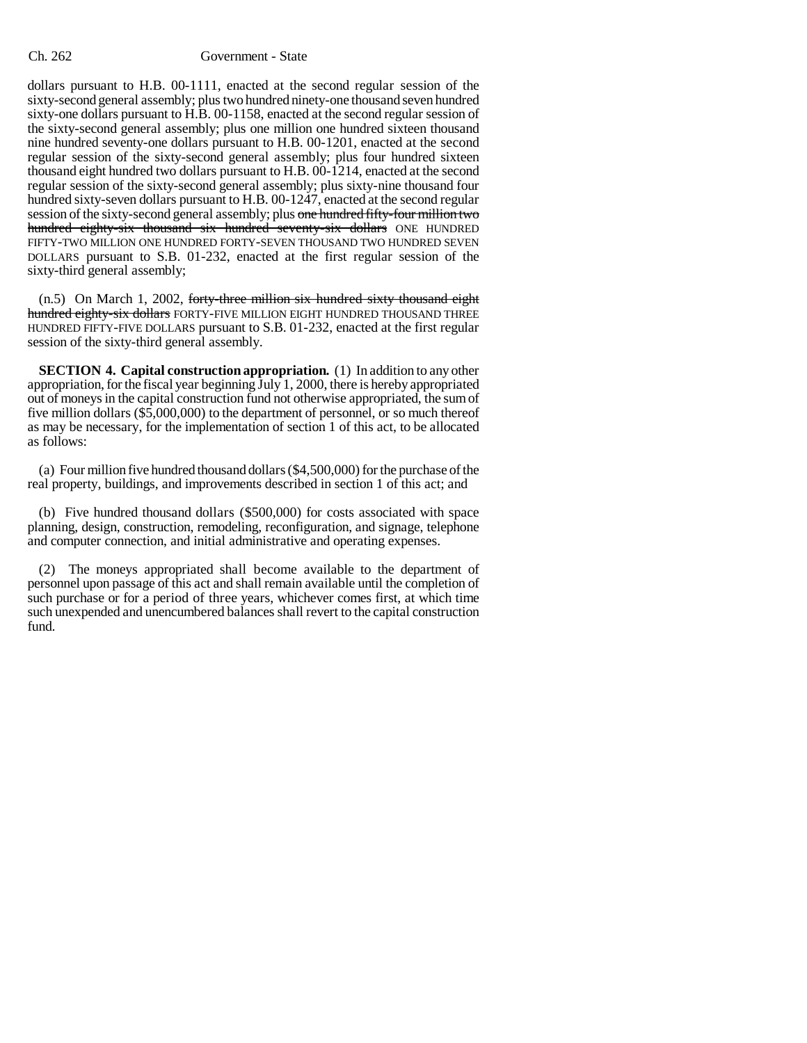#### Ch. 262 Government - State

dollars pursuant to H.B. 00-1111, enacted at the second regular session of the sixty-second general assembly; plus two hundred ninety-one thousand seven hundred sixty-one dollars pursuant to H.B. 00-1158, enacted at the second regular session of the sixty-second general assembly; plus one million one hundred sixteen thousand nine hundred seventy-one dollars pursuant to H.B. 00-1201, enacted at the second regular session of the sixty-second general assembly; plus four hundred sixteen thousand eight hundred two dollars pursuant to H.B. 00-1214, enacted at the second regular session of the sixty-second general assembly; plus sixty-nine thousand four hundred sixty-seven dollars pursuant to H.B. 00-1247, enacted at the second regular session of the sixty-second general assembly; plus one hundred fifty-four million two hundred eighty-six thousand six hundred seventy-six dollars ONE HUNDRED FIFTY-TWO MILLION ONE HUNDRED FORTY-SEVEN THOUSAND TWO HUNDRED SEVEN DOLLARS pursuant to S.B. 01-232, enacted at the first regular session of the sixty-third general assembly;

(n.5) On March 1, 2002, forty-three million six hundred sixty thousand eight hundred eighty-six dollars FORTY-FIVE MILLION EIGHT HUNDRED THOUSAND THREE HUNDRED FIFTY-FIVE DOLLARS pursuant to S.B. 01-232, enacted at the first regular session of the sixty-third general assembly.

**SECTION 4. Capital construction appropriation.** (1) In addition to any other appropriation, for the fiscal year beginning July 1, 2000, there is hereby appropriated out of moneys in the capital construction fund not otherwise appropriated, the sum of five million dollars (\$5,000,000) to the department of personnel, or so much thereof as may be necessary, for the implementation of section 1 of this act, to be allocated as follows:

(a) Four million five hundred thousand dollars (\$4,500,000) for the purchase of the real property, buildings, and improvements described in section 1 of this act; and

(b) Five hundred thousand dollars (\$500,000) for costs associated with space planning, design, construction, remodeling, reconfiguration, and signage, telephone and computer connection, and initial administrative and operating expenses.

(2) The moneys appropriated shall become available to the department of personnel upon passage of this act and shall remain available until the completion of such purchase or for a period of three years, whichever comes first, at which time such unexpended and unencumbered balances shall revert to the capital construction fund.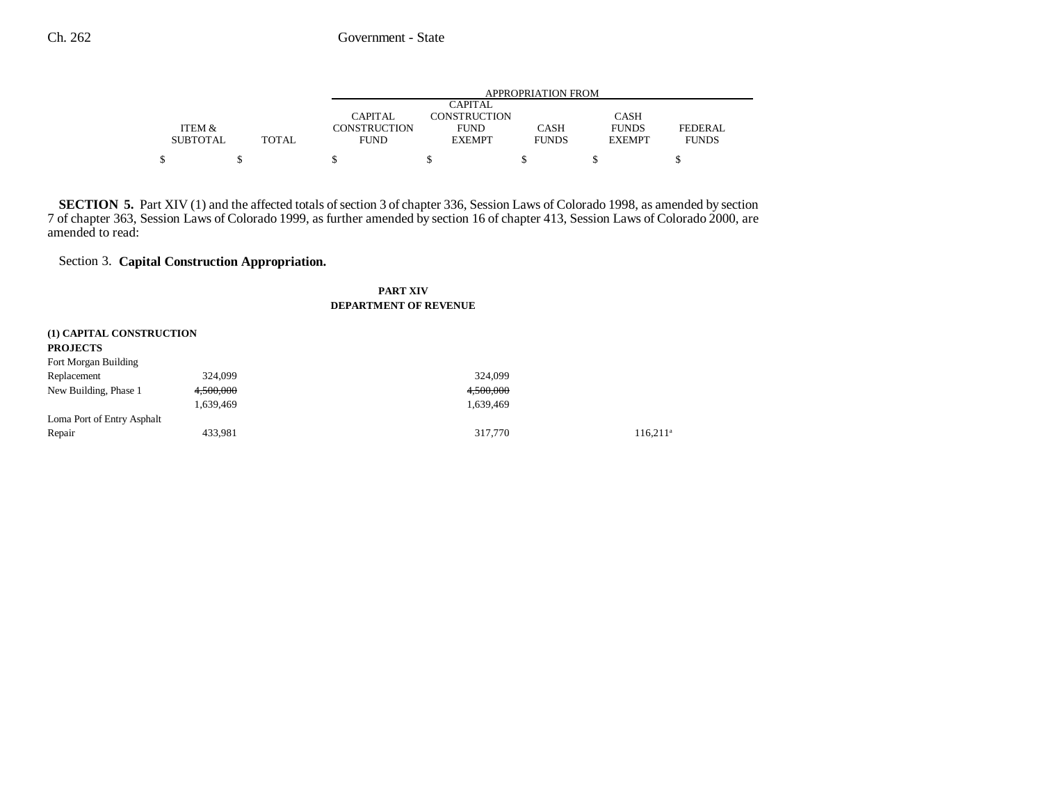|                 |       | APPROPRIATION FROM  |               |              |               |              |  |
|-----------------|-------|---------------------|---------------|--------------|---------------|--------------|--|
|                 |       | <b>CAPITAL</b>      |               |              |               |              |  |
|                 |       | CAPITAL             | CONSTRUCTION  |              | <b>CASH</b>   |              |  |
| ITEM &          |       | <b>CONSTRUCTION</b> | <b>FUND</b>   | <b>CASH</b>  | <b>FUNDS</b>  | FEDERAL      |  |
| <b>SUBTOTAL</b> | TOTAL | <b>FUND</b>         | <b>EXEMPT</b> | <b>FUNDS</b> | <b>EXEMPT</b> | <b>FUNDS</b> |  |
|                 |       |                     |               |              |               |              |  |

**SECTION 5.** Part XIV (1) and the affected totals of section 3 of chapter 336, Session Laws of Colorado 1998, as amended by section 7 of chapter 363, Session Laws of Colorado 1999, as further amended by section 16 of chapter 413, Session Laws of Colorado 2000, are amended to read:

## Section 3. **Capital Construction Appropriation.**

#### **PART XIVDEPARTMENT OF REVENUE**

| (1) CAPITAL CONSTRUCTION   |           |           |             |
|----------------------------|-----------|-----------|-------------|
| <b>PROJECTS</b>            |           |           |             |
| Fort Morgan Building       |           |           |             |
| Replacement                | 324,099   | 324,099   |             |
| New Building, Phase 1      | 4.500.000 | 4,500,000 |             |
|                            | 1,639,469 | 1,639,469 |             |
| Loma Port of Entry Asphalt |           |           |             |
| Repair                     | 433,981   | 317,770   | $116.211^3$ |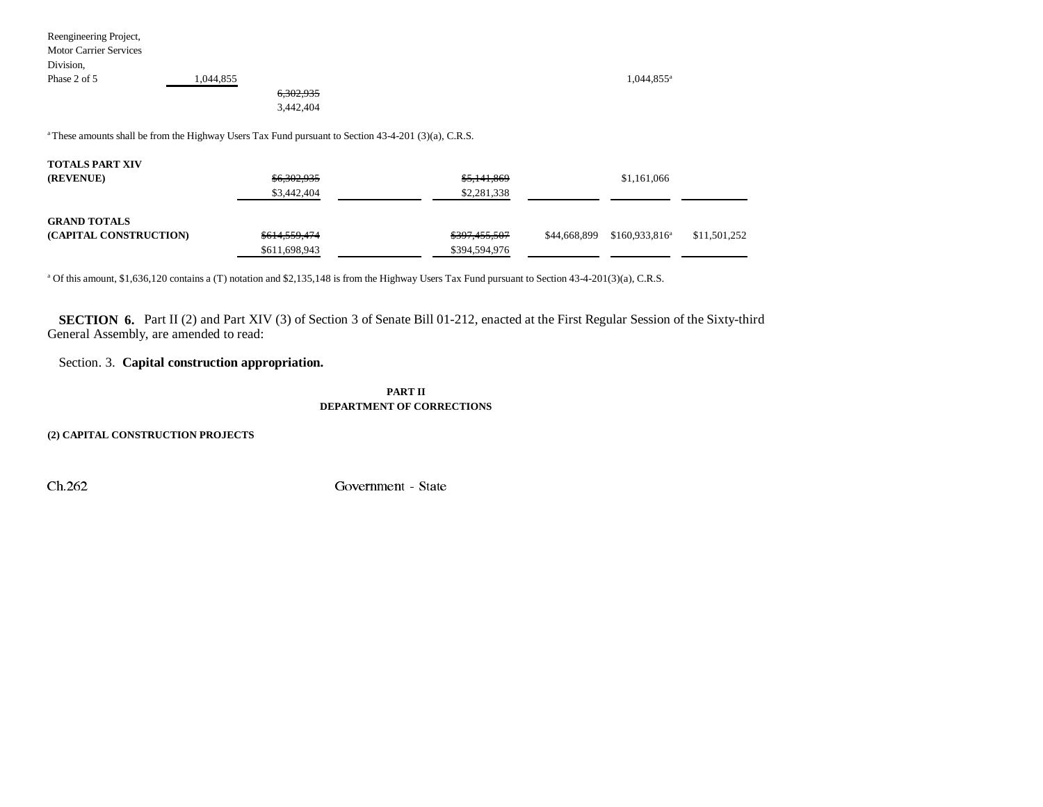Reengineering Project, Motor Carrier Services Division, Phase 2 of 5 1,044,855 1,044,855 1,044,855

6,302,935 3,442,404

<sup>a</sup> These amounts shall be from the Highway Users Tax Fund pursuant to Section 43-4-201 (3)(a), C.R.S.

| <b>TOTALS PART XIV</b> |                          |               |              |                  |              |
|------------------------|--------------------------|---------------|--------------|------------------|--------------|
| (REVENUE)              | \$6,302,935              | \$5,141,869   |              | \$1,161,066      |              |
|                        | \$3,442,404              | \$2,281,338   |              |                  |              |
| <b>GRAND TOTALS</b>    |                          |               |              |                  |              |
| (CAPITAL CONSTRUCTION) | <del>\$614,559,474</del> | \$397,455,507 | \$44,668,899 | $$160,933,816^a$ | \$11,501,252 |
|                        | \$611,698,943            | \$394,594,976 |              |                  |              |

a Of this amount, \$1,636,120 contains a (T) notation and \$2,135,148 is from the Highway Users Tax Fund pursuant to Section 43-4-201(3)(a), C.R.S.

**SECTION 6.** Part II (2) and Part XIV (3) of Section 3 of Senate Bill 01-212, enacted at the First Regular Session of the Sixty-third General Assembly, are amended to read:

### Section. 3. **Capital construction appropriation.**

#### **PART IIDEPARTMENT OF CORRECTIONS**

**(2) CAPITAL CONSTRUCTION PROJECTS**

&K \*RYHUQPHQW 6WDWH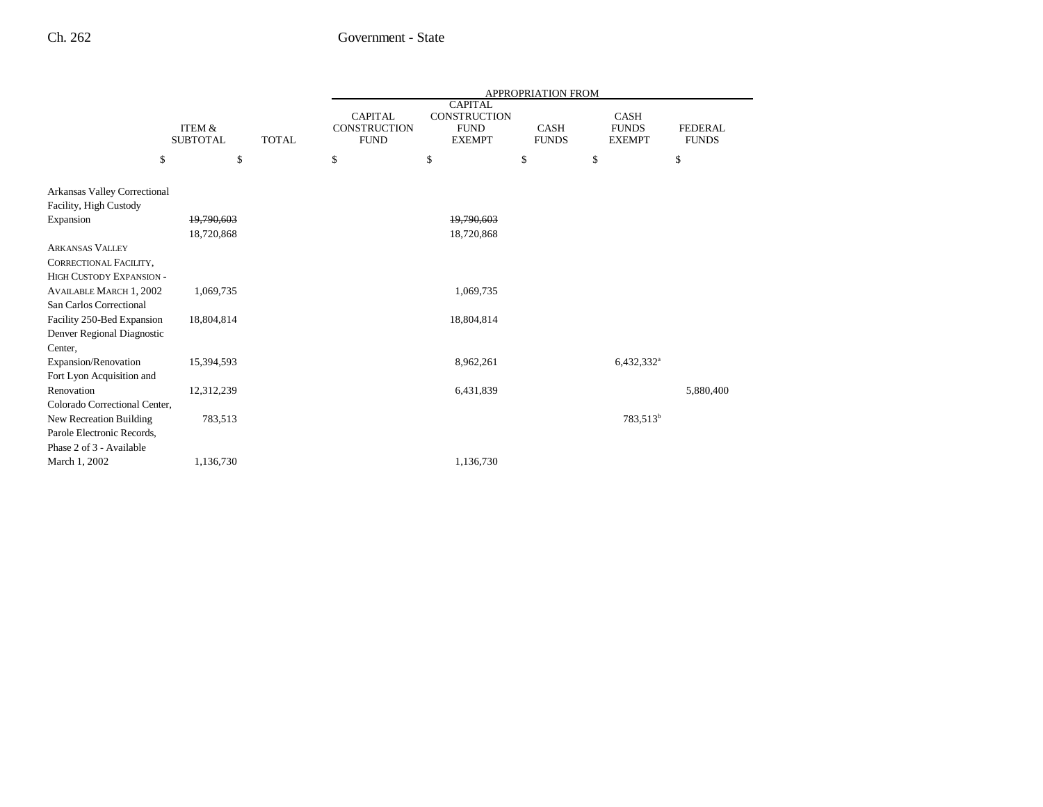|                                                          |                           |              | <b>APPROPRIATION FROM</b>                            |                                                                       |                             |                                              |                                |
|----------------------------------------------------------|---------------------------|--------------|------------------------------------------------------|-----------------------------------------------------------------------|-----------------------------|----------------------------------------------|--------------------------------|
|                                                          | ITEM &<br><b>SUBTOTAL</b> | <b>TOTAL</b> | <b>CAPITAL</b><br><b>CONSTRUCTION</b><br><b>FUND</b> | <b>CAPITAL</b><br><b>CONSTRUCTION</b><br><b>FUND</b><br><b>EXEMPT</b> | <b>CASH</b><br><b>FUNDS</b> | <b>CASH</b><br><b>FUNDS</b><br><b>EXEMPT</b> | <b>FEDERAL</b><br><b>FUNDS</b> |
| \$                                                       | \$                        |              | \$                                                   | \$                                                                    | \$                          | \$                                           | \$                             |
| Arkansas Valley Correctional                             |                           |              |                                                      |                                                                       |                             |                                              |                                |
| Facility, High Custody                                   |                           |              |                                                      |                                                                       |                             |                                              |                                |
| Expansion                                                | 19,790,603                |              |                                                      | 19,790,603                                                            |                             |                                              |                                |
|                                                          | 18,720,868                |              |                                                      | 18,720,868                                                            |                             |                                              |                                |
| <b>ARKANSAS VALLEY</b>                                   |                           |              |                                                      |                                                                       |                             |                                              |                                |
| CORRECTIONAL FACILITY,                                   |                           |              |                                                      |                                                                       |                             |                                              |                                |
| <b>HIGH CUSTODY EXPANSION -</b>                          |                           |              |                                                      |                                                                       |                             |                                              |                                |
| <b>AVAILABLE MARCH 1, 2002</b>                           | 1,069,735                 |              |                                                      | 1,069,735                                                             |                             |                                              |                                |
| San Carlos Correctional                                  |                           |              |                                                      |                                                                       |                             |                                              |                                |
| Facility 250-Bed Expansion                               | 18,804,814                |              |                                                      | 18,804,814                                                            |                             |                                              |                                |
| Denver Regional Diagnostic                               |                           |              |                                                      |                                                                       |                             |                                              |                                |
| Center,                                                  |                           |              |                                                      |                                                                       |                             |                                              |                                |
| Expansion/Renovation                                     | 15,394,593                |              |                                                      | 8,962,261                                                             |                             | $6,432,332^a$                                |                                |
| Fort Lyon Acquisition and                                |                           |              |                                                      |                                                                       |                             |                                              |                                |
| Renovation                                               | 12,312,239                |              |                                                      | 6,431,839                                                             |                             |                                              | 5,880,400                      |
| Colorado Correctional Center,<br>New Recreation Building | 783,513                   |              |                                                      |                                                                       |                             | 783,513 <sup>b</sup>                         |                                |
| Parole Electronic Records,                               |                           |              |                                                      |                                                                       |                             |                                              |                                |
| Phase 2 of 3 - Available                                 |                           |              |                                                      |                                                                       |                             |                                              |                                |
| March 1, 2002                                            | 1,136,730                 |              |                                                      | 1,136,730                                                             |                             |                                              |                                |
|                                                          |                           |              |                                                      |                                                                       |                             |                                              |                                |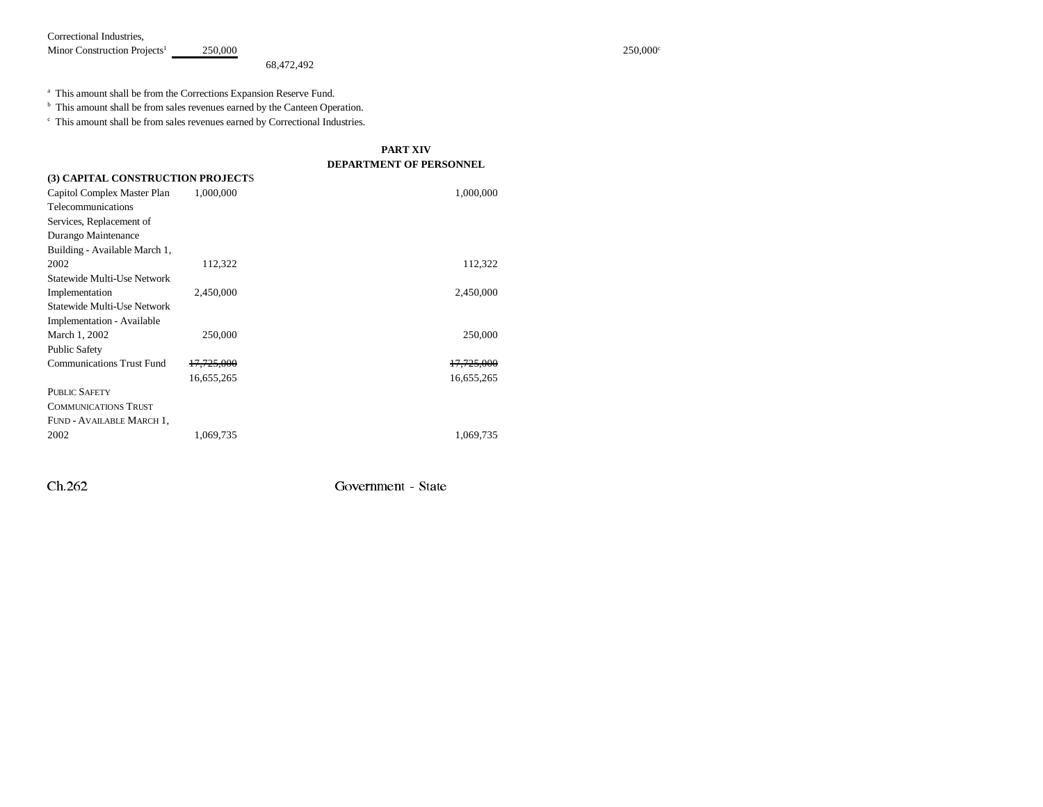Correctional Industries,

Minor Construction Projects<sup>1</sup> 250,000<sup>c</sup> 250,000<sup>c</sup> 250,000<sup>c</sup>

68,472,492

a This amount shall be from the Corrections Expansion Reserve Fund.

<sup>b</sup> This amount shall be from sales revenues earned by the Canteen Operation.

c This amount shall be from sales revenues earned by Correctional Industries.

|                                   |                       | <b>PART XIV</b>                |
|-----------------------------------|-----------------------|--------------------------------|
|                                   |                       | <b>DEPARTMENT OF PERSONNEL</b> |
| (3) CAPITAL CONSTRUCTION PROJECTS |                       |                                |
| Capitol Complex Master Plan       | 1,000,000             | 1,000,000                      |
| Telecommunications                |                       |                                |
| Services, Replacement of          |                       |                                |
| Durango Maintenance               |                       |                                |
| Building - Available March 1,     |                       |                                |
| 2002                              | 112,322               | 112,322                        |
| Statewide Multi-Use Network       |                       |                                |
| Implementation                    | 2,450,000             | 2,450,000                      |
| Statewide Multi-Use Network       |                       |                                |
| <b>Implementation - Available</b> |                       |                                |
| March 1, 2002                     | 250,000               | 250,000                        |
| <b>Public Safety</b>              |                       |                                |
| <b>Communications Trust Fund</b>  | <del>17,725,000</del> | <del>17,725,000</del>          |
|                                   | 16,655,265            | 16,655,265                     |
| <b>PUBLIC SAFETY</b>              |                       |                                |
| <b>COMMUNICATIONS TRUST</b>       |                       |                                |
| FUND - AVAILABLE MARCH 1,         |                       |                                |
| 2002                              | 1,069,735             | 1,069,735                      |

&K \*RYHUQPHQW 6WDWH